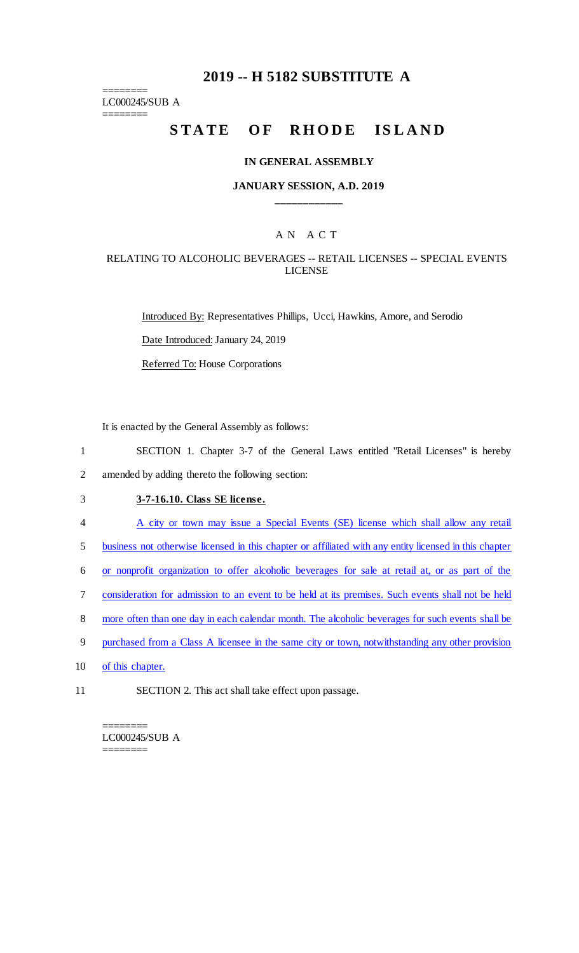# **2019 -- H 5182 SUBSTITUTE A**

======== LC000245/SUB A

========

# STATE OF RHODE ISLAND

#### **IN GENERAL ASSEMBLY**

#### **JANUARY SESSION, A.D. 2019 \_\_\_\_\_\_\_\_\_\_\_\_**

## A N A C T

## RELATING TO ALCOHOLIC BEVERAGES -- RETAIL LICENSES -- SPECIAL EVENTS LICENSE

Introduced By: Representatives Phillips, Ucci, Hawkins, Amore, and Serodio Date Introduced: January 24, 2019 Referred To: House Corporations

It is enacted by the General Assembly as follows:

1 SECTION 1. Chapter 3-7 of the General Laws entitled "Retail Licenses" is hereby 2 amended by adding thereto the following section:

- 3 **3-7-16.10. Class SE license.**
- 4 A city or town may issue a Special Events (SE) license which shall allow any retail

5 business not otherwise licensed in this chapter or affiliated with any entity licensed in this chapter

6 or nonprofit organization to offer alcoholic beverages for sale at retail at, or as part of the

- 7 consideration for admission to an event to be held at its premises. Such events shall not be held
- 8 more often than one day in each calendar month. The alcoholic beverages for such events shall be
- 9 purchased from a Class A licensee in the same city or town, notwithstanding any other provision
- 10 of this chapter.
- 11 SECTION 2. This act shall take effect upon passage.

======== LC000245/SUB A ========